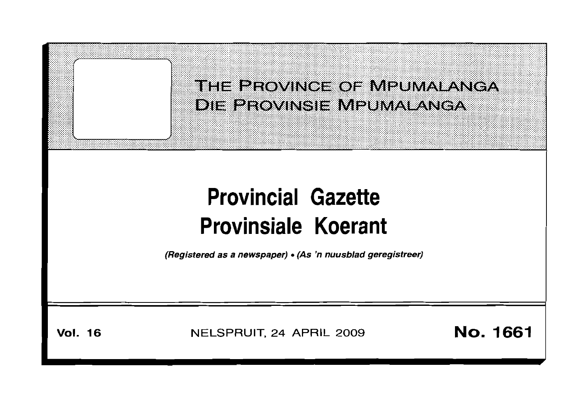

# **Provincial Gazette Provinsiale Koerant**

(Registered as a newspaper) • (As 'n nuusblad geregistreer)

**Vol. 16**

NELSPRUIT, 24 APRIL 2009 **No. 1661**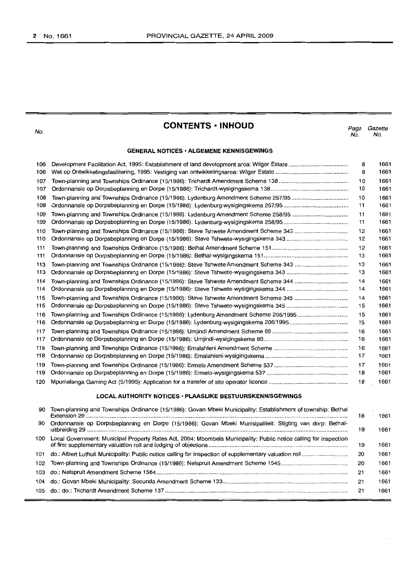No.

# **CONTENTS • INHOUD**

*Page Gazette* No. No.

## **GENERAL NOTICES· ALGEMENE KENNISGEWINGS**

| 106 |                                                                                      | 8  | 1661 |
|-----|--------------------------------------------------------------------------------------|----|------|
| 106 |                                                                                      | 9  | 1661 |
| 107 |                                                                                      | 10 | 1661 |
| 107 |                                                                                      | 10 | 1661 |
| 108 | Town-planning and Townships Ordinance (15/1986): Lydenburg Amendment Scheme 257/95   | 10 | 1661 |
| 108 |                                                                                      | 11 | 1661 |
| 109 | Town-planning and Townships Ordinance (15/1986): Lydenburg Amendment Scheme 258/95   | 11 | 1661 |
| 109 |                                                                                      | 11 | 1661 |
| 110 | Town-planning and Townships Ordinance (15/1986): Steve Tshwete Amendment Scheme 343  | 12 | 1661 |
| 110 |                                                                                      | 12 | 1661 |
| 111 |                                                                                      | 12 | 1661 |
| 111 |                                                                                      | 13 | 1661 |
| 113 | Town-planning and Townships Ordinance (15/1986): Steve Tshwete Amendment Scheme 343  | 13 | 1661 |
| 113 |                                                                                      | 13 | 1661 |
| 114 |                                                                                      | 14 | 1661 |
| 114 |                                                                                      | 14 | 1661 |
| 115 | Town-planning and Townships Ordinance (15/1986): Steve Tshwete Amendment Scheme 345  | 14 | 1661 |
| 115 |                                                                                      | 15 | 1661 |
| 116 | Town-planning and Townships Ordinance (15/1986): Lydenburg Amendment Scheme 206/1995 | 15 | 1661 |
| 116 |                                                                                      | 15 | 1661 |
| 117 |                                                                                      | 16 | 1661 |
| 117 |                                                                                      | 16 | 1661 |
| 118 |                                                                                      | 16 | 1661 |
| 118 |                                                                                      | 17 | 1661 |
| 119 |                                                                                      | 17 | 1661 |
| 119 |                                                                                      | 18 | 1661 |
| 120 |                                                                                      | 18 | 1661 |
|     |                                                                                      |    |      |

## **LOCAL AUTHORITY NOTICES· PLAASLIKE BESTUURSKENNISGEWINGS**

| 90  | Town-planning and Townships Ordinance (15/1986): Govan Mbeki Municipality: Establishment of township: Bethal      | 18 | 1661 |
|-----|-------------------------------------------------------------------------------------------------------------------|----|------|
| 90  | Ordonnansie op Dorpsbeplanning en Dorpe (15/1986): Govan Mbeki Munisipaliteit: Stigting van dorp: Bethal-         | 19 | 1661 |
| 100 | Local Government: Municipal Property Rates Act, 2004: Mbombela Municipality: Public notice calling for inspection | 19 | 1661 |
| 101 |                                                                                                                   | 20 | 1661 |
| 102 |                                                                                                                   | 20 | 1661 |
| 103 |                                                                                                                   | 21 | 1661 |
|     |                                                                                                                   | 21 | 1661 |
|     |                                                                                                                   | 21 | 1661 |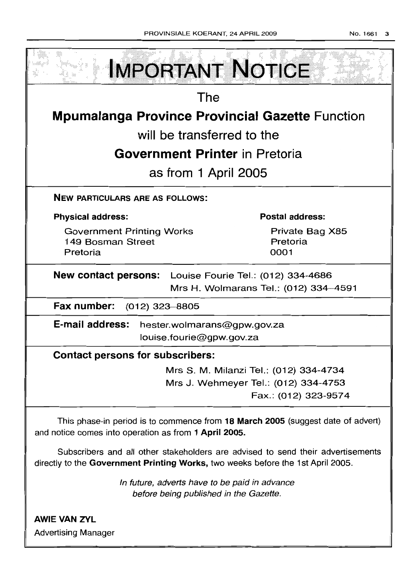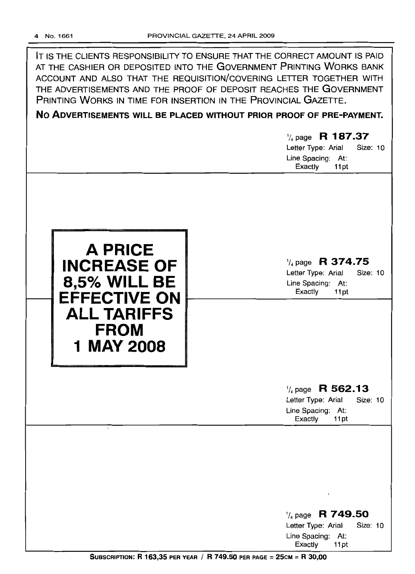IT IS THE CLIENTS RESPONSIBILITY TO ENSURE THAT THE CORRECT AMOUNT IS PAID AT THE CASHIER OR DEPOSITED INTO THE GOVERNMENT PRINTING WORKS BANK ACCOUNT AND ALSO THAT THE REQUISITION/COVERING LETTER TOGETHER WITH THE ADVERTISEMENTS AND THE PROOF OF DEPOSIT REACHES THE GOVERNMENT PRINTING WORKS IN TIME FOR INSERTION IN THE PROVINCIAL GAZETTE.

**No ADVERTISEMENTS WILL BE PLACED WITHOUT PRIOR PROOF OF PRE-PAYMENT.**

# 1/4page **R 187.37** Letter Type: Arial Size: 10 Line Spacing: At: Exactly 11pt **A PRICE INCREASE OF 8,5% WILL BE EFFECTIVE ON ALL TARIFFS FROM 1 MAY2008** 1/4page **R 374.75** Letter Type: Arial Size: 10 Line Spacing: At: Exactly 11 pt 1/4 page **R 562.13** Letter Type: Arial Size: 10 Line Spacing: At: Exactly 11 pt 1/4 page **R 749.50** Letter Type: Arial Size: 10

SUBSCRIPTION: R 163,35 PER YEAR / R 749.50 PER PAGE = 25CM = R 30,00

Line Spacing: At: Exactly 11pt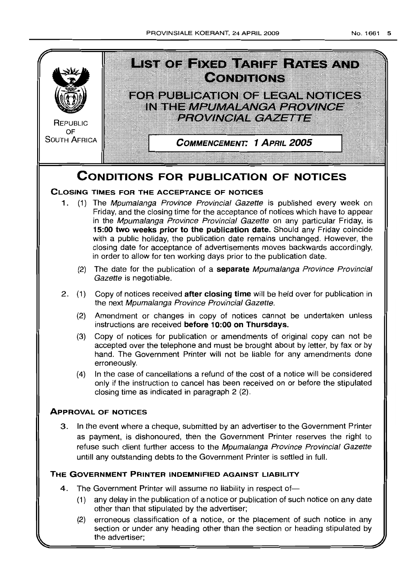

## **THE GOVERNMENT PRINTER INDEMNIFIED AGAINST LIABILITY**

- 4. The Government Printer will assume no liability in respect of-
	- (1) any delay in the publication of a notice or publication of such notice on any date other than that stipulated by the advertiser;
	- (2) erroneous classification of a notice, or the placement of such notice in any section or under any heading other than the section or heading stipulated by the advertiser;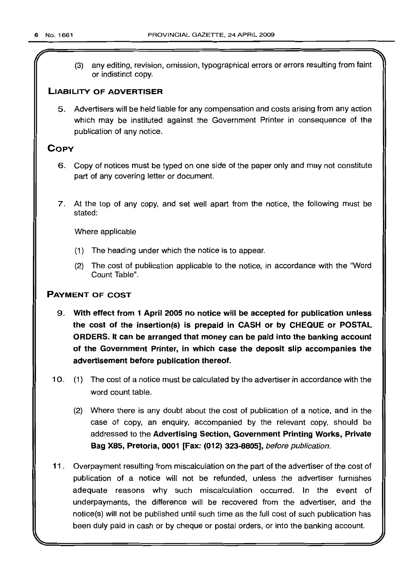r

(3) any editing, revision, omission, typographical errors or errors resulting from faint or indistinct copy.

## **LIASIL1TY OF ADVERTISER**

5. Advertisers will be held liable for any compensation and costs arising from any action which may be instituted against the Government Printer in consequence of the publication of any notice.

## **COpy**

- 6. Copy of notices must be typed on one side of the paper only and may not constitute part of any covering letter or document.
- 7. At the top of any copy, and set well apart from the notice, the following must be stated:

Where applicable

- (1) The heading under which the notice is to appear.
- (2) The cost of publication applicable to the notice, in accordance with the "Word Count Table".

## **PAYMENT OF COST**

- 9. **With effect from 1 April 2005 no notice will be accepted for publication unless the cost of the insertion(s) is prepaid in CASH or by CHEQUE or POSTAL ORDERS. It can be arranged that money can be paid into the banking account of the Government Printer, in which case the deposit slip accompanies the advertisement before publication thereof.**
- 10. (1) The cost of a notice must be calculated by the advertiser in accordance with the word count table.
	- (2) Where there is any doubt about the cost of publication of a notice, and in the case of copy, an enquiry, accompanied by the relevant copy, should be addressed to the **Advertising Section, Government Printing Works, Private Bag X85, Pretoria, 0001 [Fax: (012) 323-8805],** before publication.
- **11.** Overpayment resulting from miscalculation on the part of the advertiser of the cost of publication of a notice will not be refunded, unless the advertiser furnishes adequate reasons why such miscalculation occurred. In the event of underpayments, the difference will be recovered from the advertiser, and the notice(s) will not be published until such time as the full cost of such publication has been duly paid in cash or by cheque or postal orders, or into the banking account.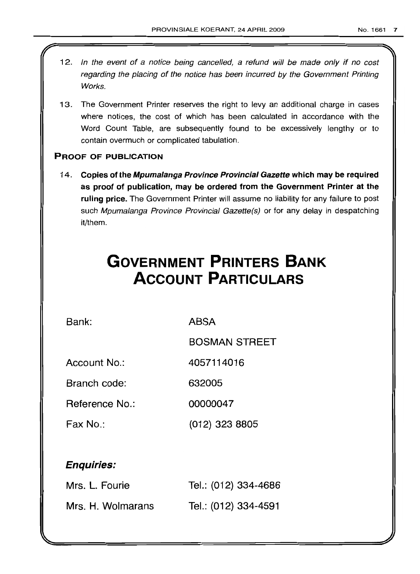- 12. In the event of a notice being cancelled, a refund will be made only if no cost regarding the placing of the notice has been incurred by the Government Printing Works.
- 13. The Government Printer reserves the right to levy an additional charge in cases where notices, the cost of which has been calculated in accordance with the Word Count Table, are subsequently found to be excessively lengthy or to contain overmuch or complicated tabulation.

## PROOF OF PUBLICATION

14. Copies of the Mpumalanga Province Provincial Gazette which may be required as proof of publication, may be ordered from the Government Printer at the ruling price. The Government Printer will assume no liability for any failure to post such Mpumalanga Province Provincial Gazette(s) or for any delay in despatching it/them.

# **GOVERNMENT PRINTERS BANK ACCOUNT PARTICULARS**

Bank: ABSA

BOSMAN STREET

Account No.: 4057114016

Branch code: 632005

Reference No.: 00000047

Fax No.: (012) 323 8805

## Enquiries:

| Mrs. L. Fourie    | Tel.: (012) 334-4686 |
|-------------------|----------------------|
| Mrs. H. Wolmarans | Tel.: (012) 334-4591 |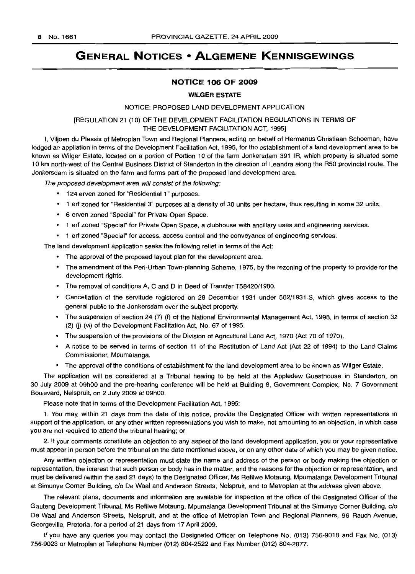# **GENERAL NOTICES • ALGEMENE KENNISGEWINGS**

## **NOTICE 106 OF 2009**

#### **WILGER ESTATE**

#### NOTICE: PROPOSED LAND DEVELOPMENT APPLICATION

## [REGULATION 21 (10) OF THE DEVELOPMENT FACILITATION REGULATIONS IN TERMS OF THE DEVELOPMENT FACILITATION ACT, 1995]

I, Viljoen du Plessis of Metroplan Town and Regional Planners, acting on behalf of Hermanus Christiaan Schoeman, have lodged an appliation in terms of the Development Facilitation Act, 1995, for the establishment of a land development area to be known as Wilger Estate, located on a portion of Portion 10 of the farm Jonkersdam 391 IR, which property is situated some 10 km north-west of the Central Business District of Standerton in the direction of Leandra along the R50 provincial route. The Jonkersdam is situated on the farm and forms part of the proposed land development area.

The proposed development area will consist of the following:

- 124 erven zoned for "Residential 1" purposes.
- 1 erf zoned for "Residential 3" purposes at a density of 30 units per hectare, thus resulting in some 32 units.
- 6 erven zoned "Special" for Private Open Space.
- 1 erf zoned "Special" for Private Open Space, a clubhouse with ancillary uses and engineering services.
- 1 erf zoned "Special" for access, access control and the conveyance of engineering services.

The land development application seeks the following relief in terms of the Act:

- The approval of the proposed layout plan for the development area.
- The amendment of the Peri-Urban Town-planning Scheme, 1975, by the rezoning of the property to provide for the development rights.
- The removal of conditions A, C and D in Deed of Transfer T58420/1980.
- Cancellation of the servitude registered on 28 December 1931 under 582/1931-S, which gives access to the general public to the Jonkersdam over the subject property.
- The suspension of section 24 (7) (1) of the National Environmental Management Act, 1998, in terms of section 32 (2) (i) (vi) of the Development Facilitation Act, No. 67 of 1995.
- The suspension of the provisions of the Division of Agricultural Land Act, 1970 (Act 70 of 1970).
- A notice to be served in terms of section 11 of the Restitution of Land Act (Act 22 of 1994) to the Land Claims Commissioner, Mpumalanga.
- The approval of the conditions of establishment for the land development area to be known as Wilger Estate.

The application will be considered at a Tribunal hearing to be held at the Appledew Guesthouse in Standerton, on 30 July 2009 at 09hOO and the pre-hearing conference will be held at Building 8, Government Complex, No. 7 Government Boulevard, Nelspruit, on 2 July 2009 at 09hOO.

Please note that in terms of the Development Facilitation Act, 1995:

1. You may, within 21 days from the date of this notice, provide the Designated Officer with written representations in support of the application, or any other written representations you wish to make, not amounting to an objection, in which case you are not required to attend the tribunal hearing; or

2. If your comments constitute an objection to any aspect of the land development application, you or your representative must appear in person before the tribunal on the date mentioned above, or on any other date of which you may be given notice.

Any written objection or representation must state the name and address of the person or body making the objection or representation, the interest that such person or body has in the matter, and the reasons for the objection or representation, and must be delivered (within the said 21 days) to the Designated Officer, Ms Refilwe Motaung, Mpumalanga Development Tribunal at Simunye Corner Building, c/o De Waal and Anderson Streets, Nelspruit, and to Metroplan at the address given above.

The relevant plans, documents and information are available for inspection at the office of the Designated Officer of the Gauteng Development Tribunal, Ms Refilwe Motaung, Mpumalanga Development Tribunal at the Simunye Corner Building, c/o De Waal and Anderson Streets, Nelspruit, and at the office of Metroplan Town and Regional Planners, 96 Rauch Avenue, Georgeville, Pretoria, for a period of 21 days from 17 April 2009.

If you have any queries you may contact the Designated Officer on Telephone No. (013) 756-9018 and Fax No. (013) 756-9023 or Metroplan at Telephone Number (012) 804-2522 and Fax Number (012) 804-2877.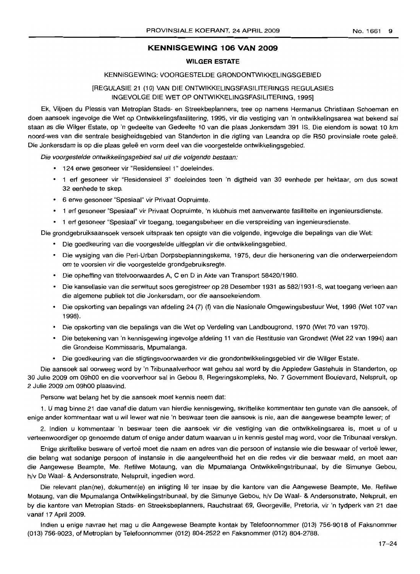## **KENNISGEWING 106 VAN 2009**

#### **WILGER ESTATE**

## KENNISGEWING: VOORGESTELDE GRONDONTWIKKELINGSGEBIED

## [REGULASIE 21 (10) VAN DIE ONTWIKKElINGSFASllITERINGS REGULASIES INGEVOLGE DIE WET OP ONTWIKKElINGSFASllITERING, 1995]

Ek, Viljoen du Plessis van Metroplan Stads- en Streekbeplanners, tree op namens Hermanus Christiaan Schoeman en doen aansoek ingevolge die Wet op Ontwikkelingsfasilitering, 1995, vir die vestiging van 'n ontwikkelingsarea wat bekend sal staan as die Wilger Estate, op 'n gedeelte van Gedeelte 10 van die plaas Jonkersdam 391 IS. Die eiendom is sowat 10 km noord-wes van die sentrale besigheidsgebied van Standerton in die rigting van Leandra op die R50 provinsiale roete gelee. Die Jonkersdam is op die plaas gelee en vorm deel van die voorgestelde ontwikkelingsgebied.

Die voorgestelde ontwikkelingsgebied sal uit die volgende bestaan:

- 124 erwe gesoneer vir "Residensieel 1" doeleindes.
- 1 erf gesoneer vir "Residensieel 3" doeleindes teen 'n digtheid van 30 eenhede per hektaar, om dus sowat 32 eenhede te skep.
- 6 erwe gesoneer "Spesiaal" vir Privaat Oopruimte.
- 1 erf gesoneer "Spesiaal" vir Privaat Oopruimte, 'n klubhuis met aanverwante fasiliteite en ingenieursdienste.
- 1 erf gesoneer "Spesiaal" vir toegang, toegangsbeheer en die verspreiding van ingenieursdienste.

Die grondgebruiksaansoek versoek uitspraak ten opsigte van die volgende, ingevolge die bepalings van die Wet:

- Die goedkeuring van die voorgestelde uitlegplan vir die ontwikkelingsgebied.
- Die wysiging van die Peri-Urban Dorpsbeplanningskema, 1975, deur die hersonering van die onderwerpeiendom om te voorsien vir die voorgestelde grondgebruiksregte.
- Die opheffing van titelvoorwaardes A, C en D in Akte van Transport 58420/1980.
- Die kansellasie van die serwituut soos geregistreer op 28 Desember 1931 as 582/1931-S, wat toegang verleen aan die algemene publiek tot die Jonkersdam, oor die aansoekeiendom.
- Die opskorting van bepalings van afdeling 24 (7) (f) van die Nasionale Omgewingsbestuur Wet, 1998 (Wet 107 van 1998).
- Die opskorting van die bepalings van die Wet op Verdeling van Landbougrond, 1970 (Wet 70 van 1970).
- Die betekening van 'n kennisgewing ingevolge afdeling 11 van die Restitusie van Grondwet (Wet 22 van 1994) aan die Grondeise Kommissaris, Mpumalanga.
- Die goedkeuring van die stigtingsvoorwaardes vir die grondontwikkelingsgebied vir die Wilger Estate.

Die aansoek sal oorweeg word by 'n Tribunaalverhoor wat gehou sal word by die Appledew Gastehuis in Standerton, op 30 Julie 2009 om 09hOO en die voorverhoor sal in Gebou 8, Regeringskompleks, No.7 Government Boulevard, Nelspruit, op 2 Julie 2009 om 09hOO plaasvind.

Persone wat belang het by die aansoek moet kennis neem dat:

1. U mag binne 21 dae vanaf die datum van hierdie kennisgewing, skriftelike kommentaar ten gunste van die aansoek, of enige ander kommentaar wat u wil lewer wat nie 'n beswaar teen die aansoek is nie, aan die aangewese beampte lewer; of

2. Indien u kommentaar 'n beswaar teen die aansoek vir die vestiging van die ontwikkelingsarea is, moet u of u verteenwoordiger op genoemde datum of enige ander datum waarvan u in kennis gestel mag word, voor die Tribunaal verskyn.

Enige skriftelike besware of vertoë moet die naam en adres van die persoon of instansie wie die beswaar of vertoë lewer, die belang wat sodanige persoon of instansie in die aangeleentheid het en die redes vir die beswaar meld, en moet aan die Aangewese Beampte, Me. Refilwe Motaung, van die Mpumalanga Ontwikkelingstribunaal, by die Simunye Gebou, h/v De Waal- & Andersonstrate, Nelspruit, ingedien word.

Die relevant plan(ne), dokument(e) en inligting lê ter insae by die kantore van die Aangewese Beampte, Me. Refilwe Motaung, van die Mpumalanga Ontwikkelingstribunaal, by die Simunye Gebou, h/v De Waal- & Andersonstrate, Ne/spruit, en by die kantore van Metroplan Stads- en Streeksbeplanners, Rauchstraat 69, Georgeville, Pretoria, vir 'n tydperk van 21 dae vanaf 17 April 2009.

Indien u enige navrae het mag u die Aangewese Beampte kontak by Telefoonnommer (013) 756-9018 of Faksnommer (013) 756-9023, of Metroplan by Telefoonnommer (012) 804-2522 en Faksnommer (012) 804-2788.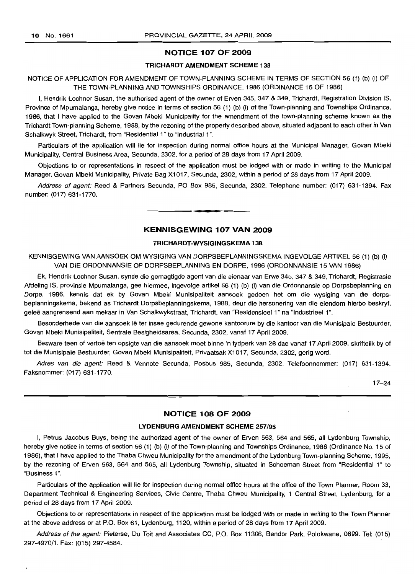$\overline{1}$ 

## **NOTICE 107 OF 2009**

#### **TRICHARDT AMENDMENT SCHEME 138**

## NOTICE OF APPLICATION FOR AMENDMENT OF TOWN-PLANNING SCHEME IN TERMS OF SECTION 56 (1) (b) (i) OF THE TOWN-PLANNING AND TOWNSHIPS ORDINANCE, 1986 (ORDINANCE 15 OF 1986)

I, Hendrik Lochner Susan, the authorised agent of the owner of Erven 345, 347 & 349, Trichardt, Registration Division IS, Province of Mpumalanga, hereby give notice in terms of section 56 (1) (b) (i) of the Town-planning and Townships Ordinance, 1986, that I have applied to the Govan Mbeki Municipality for the amendment of the town-planning scheme known as the Trichardt Town-planning Scheme, 1988, by the rezoning of the property described above, situated adjacent to each other in Van Schalkwyk Street, Trichardt, from "Residential 1" to "Industrial 1".

Particulars of the application will lie for inspection during normal office hours at the Municipal Manager, Govan Mbeki Municipality, Central Business Area, Secunda, 2302, for a period of 28 days from 17 April 2009.

Objections to or representations in respect of the application must be lodged with or made in writing to the Municipal Manager, Govan Mbeki Municipality, Private Bag X1017, Secunda, 2302, within a period of 28 days from 17 April 2009.

Address of agent: Reed & Partners Secunda, PO Box 985, Secunda, 2302. Telephone number: (017) 631-1394. Fax number: (017) 631-1770. .**- .**

#### **KENNISGEWING 107 VAN 2009**

#### **TRICHARDT-WYSIGINGSKEMA 138**

KENNISGEWING VAN AANSOEK OM WYSIGING VAN DORPSBEPLANNINGSKEMA INGEVOLGE ARTIKEL 56 (1) (b) (i) VAN DIE ORDONNANSIE OP DORPSBEPLANNING EN DORPE, 1986 (ORDONNANSIE 15 VAN 1986)

Ek, Hendrik Lochner Susan, synde die gemagtigde agent van die eienaar van Erwe 345, 347 & 349, Trichardt, Registrasie Afdeling IS, provinsie Mpumalanga, gee hiermee, ingevolge artikel 56 (1) (b) (i) van die Ordonnansie op Dorpsbeplanning en Dorpe, 1986, kennis dat ek by Govan Mbeki Munisipaliteit aansoek gedoen het om die wysiging van die dorpsbeplanningskema, bekend as Trichardt Dorpsbeplanningskema, 1988, deur die hersonering van die eiendom hierbo beskryf, gelee aangrensend aan mekaar in Van Schalkwykstraat, Trichardt, van "Residensieel 1" na "Industrieel 1".

Besonderhede van die aansoek lê ter insae gedurende gewone kantoorure by die kantoor van die Munisipale Bestuurder, Govan Mbeki Munisipaliteit, Sentrale Besigheidsarea, Secunda, 2302, vanaf 17 April 2009.

Besware teen of vertoë ten opsigte van die aansoek moet binne 'n tydperk van 28 dae vanaf 17 April 2009, skriftelik by of tot die Munisipale Bestuurder, Govan Mbeki Munisipaliteit, Privaatsak X1017, Secunda, 2302, gerig word.

Adres van die agent: Reed & Vennote Secunda, Posbus 985, Secunda, 2302. Telefoonnommer: (017) 631-1394. Faksnommer: (017) 631-1770.

17-24

## **NOTICE 108 OF 2009**

#### **LYDENBURG AMENDMENT SCHEME** 257/95

I, Petrus Jacobus Buys, being the authorized agent of the owner of Erven 563, 564 and 565, all Lydenburg Township, hereby give notice in terms of section 56 (1) (b) (i) of the Town-planning and Townships Ordinance, 1986 (Ordinance No. 15 of 1986), that I have applied to the Thaba Chweu Municipality for the amendment of the Lydenburg Town-planning Scheme, 1995, by the rezoning of Erven 563, 564 and 565, all Lydenburg Township, situated in Schoeman Street from "Residential 1" to "Business 1",

Particulars of the application will lie for inspection during normal office hours at the office of the Town Planner, Room 33, Department Technical & Engineering Services, Civic Centre, Thaba Chweu Municipality, 1 Central Street, Lydenburg, for a period of 28 days from 17 April 2009.

Objections to or representations in respect of the application must be lodged with or made in writing to the Town Planner at the above address or at P.O. Box 61, Lydenburg, 1120, within a period of 28 days from 17 April 2009.

Address of the agent: Pieterse, Du Toit and Associates CC, P.O. Box 11306, Bendor Park, Polokwane, 0699. Tel: (015) 297-4970/1. Fax: (015) 297-4584.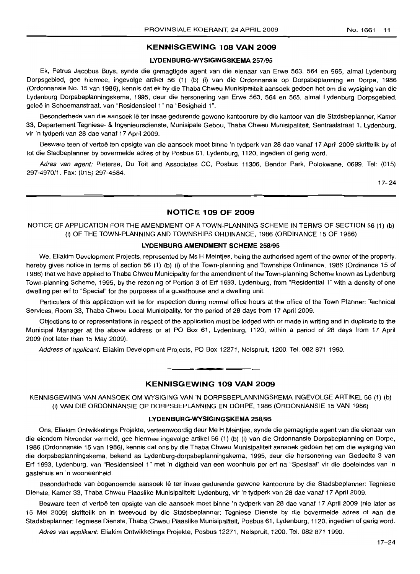## **KENNISGEWING 108 VAN 2009**

## **LYDENBURG-WYSIGINGSKEMA** 257/95

Ek, Petrus Jacobus Buys, synde die gemagtigde agent van die eienaar van Erwe 563, 564 en 565, almal Lydenburg Dorpsgebied, gee hiermee, ingevolge artikel 56 (1) (b) (i) van die Ordonnansie op Dorpsbeplanning en Dorpe, 1986 (Ordonnansie No. 15 van 1986), kennis dat ek by die Thaba Chweu Munisipaliteit aansoek gedoen het om die wysiging van die Lydenburg Dorpsbeplanningskema, 1995, deur die hersonering van Erwe 563, 564 en 565, almal Lydenburg Dorpsgebied, gelee in Schoemanstraat, van "Residensieel 1" na "Besigheid 1".

Besonderhede van die aansoek Ie ter insae gedurende gewone kantoorure by die kantoor van die Stadsbeplanner, Kamer 33, Departement Tegniese- & Ingenieursdienste, Munisipale Gebou, Thaba Chweu Munisipaliteit, Sentraalstraat 1, Lydenburg, vir 'n tydperk van 28 dae vanaf 17 April 2009.

Besware teen of vertoë ten opsigte van die aansoek moet binne 'n tydperk van 28 dae vanaf 17 April 2009 skriftelik by of tot die Stadbeplanner by bovermelde adres of by Posbus 61, Lydenburg, 1120, ingedien of gerig word.

Adres van agent: Pieterse, Du Toit and Associates CC, Posbus 11306, Bendor Park, Polokwane, 0699. Tel: (015) 297-4970/1. Fax: (015) 297-4584.

17-24

## **NOTICE 109 OF 2009**

NOTICE OF APPLICATION FOR THE AMENDMENT OF A TOWN-PLANNING SCHEME IN TERMS OF SECTION 56 (1) (b) (i) OF THE TOWN-PLANNING AND TOWNSHIPS ORDINANCE, 1986 (ORDINANCE 15 OF 1986)

### **LYDENBURG AMENDMENT SCHEME** 258/95

We, Eliakim Development Projects, represented by Ms H Meintjes, being the authorised agent of the owner of the property, hereby gives notice in terms of section 56 (1) (b) (i) of the Town-planning and Townships Ordinance, 1986 (Ordinance 15 of 1986) that we have applied to Thaba Chweu Municipality for the amendment of the Town-planning Scheme known as Lydenburg Town-planning Scheme, 1995, by the rezoning of Portion 3 of Erf 1693, Lydenburg, from "Residential 1" with a density of one dwelling per erf to "Special" for the purposes of a guesthouse and a dwelling unit.

Particulars of this application will lie for inspection during normal office hours at the office of the Town Planner: Technical Services, Room 33, Thaba Chweu Local Municipality, for the period of 28 days from 17 April 2009.

Objections to or representations in respect of the application must be lodged with or made in writing and in duplicate to the Municipal Manager at the above address or at PO Box 61, Lydenburg, 1120, within a period of 28 days from 17 April 2009 (not later than 15 May 2009).

Address of applicant: Eliakim Development Projects, PO Box 12271, Nelspruit, 1200. Tel. 082 871 1990.

## **KENNISGEWING 109 VAN 2009**

**• I**

KENNISGEWING VAN AANSOEK OM WYSIGING VAN 'N DORPSBEPLANNINGSKEMA INGEVOLGE ARTIKEL 56 (1) (b) (i) VAN DIE ORDONNANSIE OP DORPSBEPLANNING EN DORPE, 1986 (ORDONNANSIE 15 VAN 1986)

#### **LYDENBURG-WYSIGINGSKEMA** 258/95

Ons, Eliakim Ontwikkelings Projekte, verteenwoordig deur Me H Meintjes, synde die gemagtigde agent van die eienaar van die eiendom hieronder vermeld, gee hiermee ingevolge artikel 56 (1) (b) (i) van die Ordonnansie Dorpsbeplanning en Dorpe, 1986 (Ordonnansie 15 van 1986), kennis dat ons by die Thaba Chweu Munisipaliteit aansoek gedoen het om die wysiging van die dorpsbeplanningskema, bekend as Lydenburg-dorpsbeplanningskema, 1995, deur die hersonering van Gedeelte 3 van Erf 1693, Lydenburg, van "Residensieel 1" met 'n digtheid van een woonhuis per erf na "Spesiaal" vir die doeleindes van 'n gastehuis en 'n wooneenheid.

Besonderhede van bogenoemde aansoek lê ter insae gedurende gewone kantoorure by die Stadsbeplanner: Tegniese Dienste, Kamer 33, Thaba Chweu Plaaslike Munisipaliteit: Lydenburg, vir 'n tydperk van 28 dae vanaf 17 April 2009.

Besware teen of vertoë ten opsigte van die aansoek moet binne 'n tydperk van 28 dae vanaf 17 April 2009 (nie later as 15 Mei 2009) skriftelik en in tweevoud by die Stadsbeplanner: Tegniese Dienste by die bovermelde adres of aan die Stadsbeplanner: Tegniese Dienste, Thaba Chweu Plaaslike Munisipaliteit, Posbus 61 , Lydenburg, 1120, ingedien of gerig word.

Adres van applikant: Eliakim Ontwikkelings Projekte, Posbus 12271, Nelspruit, 1200. Tel. 082 871 1990.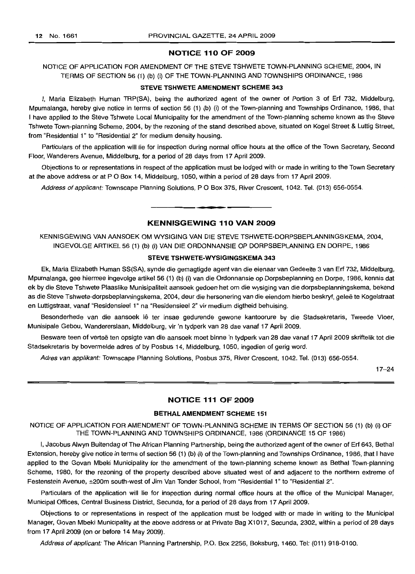## **NOTICE 110 OF 2009**

NOTICE OF APPLICATION FOR AMENDMENT OF THE STEVE TSHWETE TOWN-PLANNING SCHEME, 2004, IN TERMS OF SECTION 56 (1) (b) (i) OF THE TOWN-PLANNING AND TOWNSHIPS ORDINANCE, 1986

#### **STEVE TSHWETE AMENDMENT SCHEME 343**

I, Maria Elizabeth Human TRP(SA), being the authorized agent of the owner of Portion 3 of Erf 732, Middelburg, Mpumalanga, hereby give notice in terms of section 56 (1) (b) (i) of the Town-planning and Townships Ordinance, 1986, that I have applied to the Steve Tshwete Local Municipality for the amendment of the Town-planning scheme known as the Steve Tshwete Town-planning Scheme, 2004, by the rezoning of the stand described above, situated on Kogel Street & Luttig Street, from "Residential 1" to "Residential 2" for medium density housing.

Particulars of the application will lie for inspection during normal office hours at the office of the Town Secretary, Second Floor, Wanderers Avenue, Middelburg, for a period of 28 days from 17 April 2009.

Objections to or representations in respect of the application must be lodged with or made in writing to the Town Secretary at the above address or at P O Box 14, Middelburg, 1050, within a period of 28 days from 17 April 2009.

Address of applicant: Townscape Planning Solutions, P O Box 375, River Crescent, 1042. Tel. (013) 656-0554.

## **KENNISGEWING 110 VAN 2009**

KENNISGEWING VAN AANSOEK OM WYSIGING VAN DIE STEVE TSHWETE-DORPSBEPLANNINGSKEMA, 2004, INGEVOLGE ARTIKEL 56 (1) (b) (i) VAN DIE ORDONNANSIE OP DORPSBEPLANNING EN DORPE, 1986

#### **STEVE TSHWETE-WYSIGINGSKEMA 343**

Ek, Maria Elizabeth Human SS(SA), synde die gemagtigde agent van die eienaar van Gedeelte 3 van Erf 732, Middelburg, Mpumalanga, gee hiermee ingevolge artikel 56 (1) (b) (i) van die Ordonnansie op Dorpsbeplanning en Dorpe, 1986, kennis dat ek by die Steve Tshwete Plaaslike Munisipaliteit aansoek gedoen het om die wysiging van die dorpsbeplanningskema, bekend as die Steve Tshwete-dorpsbeplanningskema, 2004, deur die hersonering van die eiendom hierbo beskryf, geleë te Kogelstraat en Luttigstraat, vanaf "Residensieel 1" na "Residensieel 2" vir medium digtheid behuising.

Besonderhede van die aansoek lê ter insae gedurende gewone kantoorure by die Stadsekretaris, Tweede Vloer, Munisipale Gebou, Wandererslaan, Middelburg, vir 'n tydperk van 28 dae vanaf 17 April 2009.

Besware teen of vertoë ten opsigte van die aansoek moet binne 'n tydperk van 28 dae vanaf 17 April 2009 skriftelik tot die Stadsekretaris by bovermelde adres of by Posbus 14, Middelburg, 1050, ingedien of gerig word.

Adres van applikant: Townscape Planning Solutions, Posbus 375, River Crescent, 1042. Tel. (013) 656-0554.

17-24

## **NOTICE 111 OF 2009**

#### **BETHAL AMENDMENT SCHEME 151**

NOTICE OF APPLICATION FOR AMENDMENT OF TOWN-PLANNING SCHEME IN TERMS OF SECTION 56 (1) (b) (i) OF THE TOWN-PLANNING AND TOWNSHIPS ORDINANCE, 1986 (ORDINANCE 15 OF 1986)

I, Jacobus Alwyn Buitendag of The African Planning Partnership, being the authorized agent of the owner of Erf 643, Bethal Extension, hereby give notice in terms of section 56 (1) (b) (i) of the Town-planning and Townships Ordinance, 1986, that I have applied to the Govan Mbeki Municipality for the amendment of the town-planning scheme known as Bethal Town-planning Scheme, 1980, for the rezoning of the property described above situated west of and adjacent to the northern extreme of Festenstein Avenue, ±200m south-west of Jim Van Tonder School, from "Residential 1" to "Residential 2".

Particulars of the application will lie for inspection during normal office hours at the office of the Municipal Manager, Municipal Offices, Central Business District, Secunda, for a period of 28 days from 17 April 2009.

Objections to or representations in respect of the application must be lodged with or made in writing to the Municipal Manager, Govan Mbeki Municipality at the above address or at Private Bag X1017, Secunda, 2302, within a period of 28 days from 17 April 2009 (on or before 14 May 2009).

Address of applicant: The African Planning Partnership, P.O. Box 2256, Boksburg, 1460. Tel: (011) 918-0100.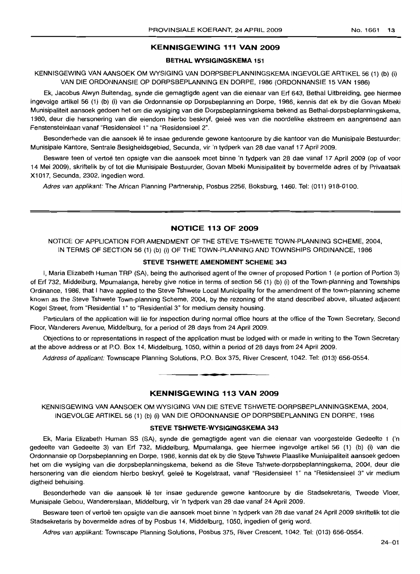## **KENNISGEWING 111 VAN 2009**

## **BETHAL WYSIGINGSKEMA 151**

KENNISGEWING VAN AANSOEK OM WYSIGING VAN DORPSBEPLANNINGSKEMA INGEVOLGE ARTIKEL 56 (1) (b) (i) VAN DIE ORDONNANSIE OP DORPSBEPLANNING EN DORPE, 1986 (ORDONNANSIE 15 VAN 1986)

Ek, Jacobus Alwyn Buitendag, synde die gemagtigde agent van die eienaar van Erf 643, Bethal Uitbreiding, qee hiermee ingevolge artikel 56 (1) (b) (i) van die Ordonnansie op Dorpsbeplanning en Dorpe, 1986, kennis dat ek by die Govan Mbeki Munisipaliteit aansoek gedoen het om die wysiging van die Dorpsbeplanningskema bekend as Bethal-dorpsbeplanningskema, 1980, deur die hersonering van die eiendom hierbo beskryf, gelee wes van die noordelike ekstreem en aangrensend aan Fenstensteinlaan vanaf "ResidensieeI1" na "Residensieel 2".

Besonderhede van die aansoek lê te insae gedurende gewone kantoorure by die kantoor van die Munisipale Bestuurder: Munisipale Kantore, Sentrale Besigheidsgebied, Secunda, vir 'n tydperk van 28 dae vanaf 17 April 2009.

Besware teen of vertoë ten opsigte van die aansoek moet binne 'n tydperk van 28 dae vanaf 17 April 2009 (op of voor 14 Mei 2009), skriftelik by of tot die Munisipale Bestuurder, Govan Mbeki Munisipaliteit by bovermelde adres of by Privaatsak X1017, Secunda, 2302, ingedien word.

Adres van applikant: The African Planning Partnership, Posbus 2256, Boksburg, 1460. Tel: (011) 918-0100.

## **NOTICE 113 OF 2009**

NOTICE OF APPLICATION FOR AMENDMENT OF THE STEVE TSHWETE TOWN-PLANNING SCHEME, 2004, IN TERMS OF SECTION 56 (1) (b) (i) OF THE TOWN-PLANNING AND TOWNSHIPS ORDINANCE, 1986

#### **STEVE TSHWETE AMENDMENT SCHEME 343**

I, Maria Elizabeth Human TRP (SA), being the authorised agent of the owner of proposed Portion 1 (a portion of Portion 3) of Erf 732, Middelburg, Mpumalanga, hereby give notice in terms of section 56 (1) (b) (i) of the Town-planning and Townships Ordinance, 1986, that I have applied to the Steve Tshwete Local Municipality for the amendment of the town-planning scheme known as the Steve Tshwete Town-planning Scheme, 2004, by the rezoning of the stand described above, situated adjacent Kogel Street, from "Residential 1" to "Residential 3" for medium density housing.

Particulars of the application will lie for inspection during normal office hours at the office of the Town Secretary, Second Floor, Wanderers Avenue, Middelburg, for a period of 28 days from 24 April 2009.

Objections to or representations in respect of the application must be lodged with or made in writing to the Town Secretary at the above address or at P.O. Box 14, Middelburg, 1050, within a period of 28 days from 24 April 2009.

Address of applicant: Townscape Planning Solutions, P.O. Box 375, River Crescent, 1042. Tel: (013) 656-0554.

#### **KENNISGEWING 113 VAN 2009**

**• •**

KENNISGEWING VAN AANSOEK OM WYSIGING VAN DIE STEVE TSHWETE-DORPSBEPLANNINGSKEMA, 2004, INGEVOLGE ARTIKEL 56 (1) (b) (i) VAN DIE ORDONNANSIE OP DORPSBEPLANNING EN DORPE, 1986

## **STEVE TSHWETE-WYSIGINGSKEMA 343**

Ek, Maria Elizabeth Human SS (SA), synde die gemagtigde agent van die eienaar van voorgestelde Gedeelte 1 ('n gedeelte van Gedeelte 3) van Erf 732, Middelburg, Mpumalanga, gee hiermee ingevolge artikel 56 (1) (b) (i) van die Ordonnansie op Dorpsbeplanning en Dorpe, 1986, kennis dat ek by die Steve Tshwete Plaaslike Munisipaliteit aansoek gedoen het om die wysiging van die dorpsbeplanningskema, bekend as die Steve Tshwete-dorpsbeplanningskema, 2004, deur die hersonering van die eiendom hierbo beskryf, geleë te Kogelstraat, vanaf "Residensieel 1" na "Residensieel 3" vir medium digtheid behuising.

Besonderhede van die aansoek lê ter insae gedurende gewone kantoorure by die Stadsekretaris, Tweede Vloer, Munisipale Gebou, Wandererslaan, Middelburg, vir 'n tydperk van 28 dae vanaf 24 April 2009.

Besware teen of vertoe ten opsigte van die aansoek moet binne 'n tydperk van 28 dae vanaf 24 April 2009 skriftelik tot die Stadsekretaris by bovermelde adres of by Posbus 14, Middelburg, 1050, ingedien of gerig word.

Adres van applikant: Townscape Planning Solutions, Posbus 375, River Crescent, 1042. Tel: (013) 656-0554.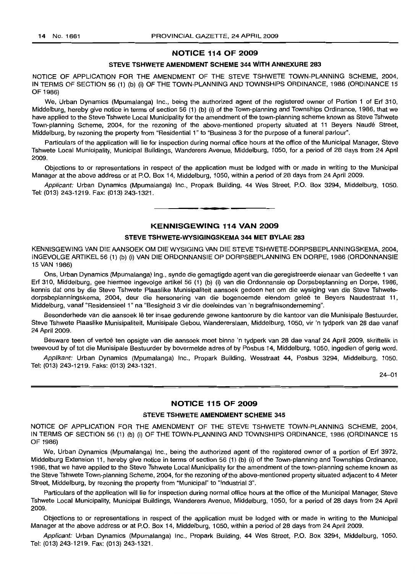## **NOTICE 114 OF 2009**

## **STEVE TSHWETE AMENDMENT SCHEME 344 WITH ANNEXURE 283**

NOTICE OF APPLICATION FOR THE AMENDMENT OF THE STEVE TSHWETE TOWN-PLANNING SCHEME, 2004, IN TERMS OF SECTION 56 (1) (b) (i) OF THE TOWN-PLANNING AND TOWNSHIPS ORDINANCE, 1986 (ORDINANCE 15 OF 1986)

We, Urban Dynamics (Mpumalanga) Inc., being the authorized agent of the registered owner of Portion 1 of Erf 310, Middelburg, hereby give notice in terms of section 56 (1) (b) (i) of the Town-planning and Townships Ordinance, 1986, that we have applied to the Steve Tshwete Local Municipality for the amendment of the town-planning scheme known as Steve Tshwete Town-planning Scheme, 2004, for the rezoning of the above-mentioned property situated at 11 Beyers Naude Street, Middelburg, by rezoning the property from "Residential 1" to "Business 3 for the purpose of a funeral parlour".

Particulars of the application will lie for inspection during normal office hours at the office of the Municipal Manager, Steve Tshwete Local Municipality, Municipal Buildings, Wanderers Avenue, Middefburg, 1050, for a period of 28 days from 24 April 2009.

Objections to or representations in respect of the application must be lodged with or made in writing to the Municipal Manager at the above address or at P.O. Box 14, Middelburg, 1050, within a period of 28 days from 24 April 2009.

Applicant: Urban Dynamics (Mpumalanga) Inc., Propark BUilding, 44 Wes Street, P.O. Box 3294, Middelburg, 1050. Tel: (013) 243-1219. Fax: (013) 243-1321.

**• •**

## **KENNISGEWING 114 VAN 2009**

#### **STEVE TSHWETE-WYSIGINGSKEMA 344 MET BYLAE 283**

KENNISGEW/NG VAN DIE AANSOEK OM DIE WYSIGING VAN DIE STEVE TSHWETE-DORPSBEPLANNINGSKEMA, 2004, INGEVOLGE ARTIKEL 56 (1) (b) (i) VAN DIE ORDONNANSIE OP DORPSBEPLANNING EN DORPE, 1986 (ORDONNANSIE 15 VAN 1986)

Ons, Urban Dynamics (Mpumalanga) Ing., synde die gemagtigde agent van die geregistreerde eienaar van Gedeelte 1 van Erf 310, Middelburg, gee hiermee ingevolge artikel 56 (1) (b) (i) van die Ordonnansie op Dorpsbeplanning en Dorpe, 1986, kennis dat ons by die Steve Tshwete Plaaslike Munisipaliteit aansoek gedoen het om die wysiging van die Steve Tshwetedorpsbeplanningskema, 2004, deur die hersonering van die bogenoemde eiendom gelee te Beyers Naudestraat 11, Middelburg, vanaf "Residensieel 1" na "Besigheid 3 vir die doeleindes van 'n begrafnisonderneming".

Besonderhede van die aansoek lê ter insae gedurende gewone kantoorure by die kantoor van die Munisipale Bestuurder, Steve Tshwete Plaaslike Munisipaliteit, Munisipale Gebou, Wandererslaan, Middelburg, 1050, vir 'n tydperk van 28 dae vanaf 24 April 2009.

Besware teen of vertoe ten opsigte van die aansoek moet binne 'n tydperk van 28 dae vanaf 24 April 2009, skriftelik in tweevoud by of tot die Munisipale Bestuurder by bovermelde adres of by Posbus 14, Middelburg, 1050, ingedien of gerig word.

Applikant: Urban Dynamics (Mpumalanga) Inc., Propark Building, Wesstraat 44, Posbus 3294, Middelburg, 1050. Tel: (013) 243-1219. Faks: (013) 243-1321.

24-01

## **NOTICE 115 OF 2009**

#### **STEVE TSHWETE AMENDMENT SCHEME 345**

NOTICE OF APPLICATION FOR THE AMENDMENT OF THE STEVE TSHWETE TOWN-PLANNING SCHEME, 2004, IN TERMS OF SECTION 56 (1) (b) (i) OF THE TOWN-PLANNING AND TOWNSHIPS ORDINANCE, 1986 (ORDINANCE 15 OF 1986)

We, Urban Dynamics (Mpumalanga) Inc., being the authorized agent of the registered owner of a portion of Erf 3972, Middelburg Extension 11, hereby give notice in terms of section 56 (1) (b) (i) of the Town-planning and Townships Ordinance, 1986, that we have applied to the Steve Tshwete Local Municipality for the amendment of the town-planning scheme known as the Steve Tshwete Town-planning Scheme, 2004, for the rezoning of the above-mentioned property situated adjacent to 4 Meter Street, Middelburg, by rezoning the property from "Municipal" to "Industrial 3".

Particulars of the application will lie for inspection during normal office hours at the office of the Municipal Manager, Steve Tshwete Local Municipality, Municipal Buildings, Wanderers Avenue, Middelburg, 1050, for a period of 28 days from 24 April 2009.

Objections to or representations in respect of the application must be lodged with or made in writing to the Municipal Manager at the above address or at P.O. Box 14, Middelburg, 1050, within a period of 28 days from 24 April 2009.

Applicant: Urban Dynamics (Mpumalanga) Inc., Propark Building, 44 Wes Street, P.O. Box 3294, Middelburg, 1050. Tel: (013) 243-1219. Fax: (013) 243-1321.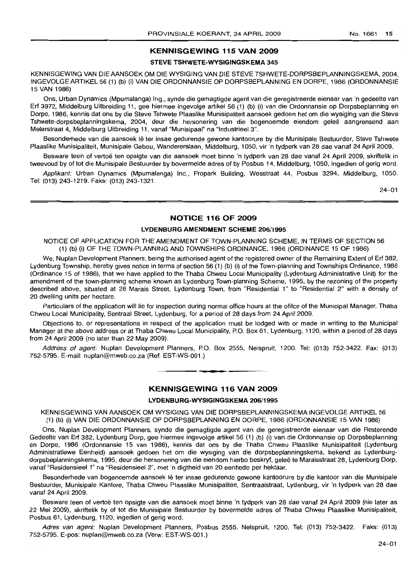## **KENNISGEWING 115 VAN 2009**

## **STEVE TSHWETE·WYSIGINGSKEMA** 345

KENNISGEWING VAN DIE AANSOEK OM DIE WYSIGING VAN DIE STEVE TSHWETE-DORPSBEPLANNINGSKEMA, 2004, INGEVOLGE ARTIKEL 56 (1) (b) (i) VAN DIE ORDONNANSIE OP DORPSBEPLANNING EN DORPE, 1986 (ORDONNANSIE 15 VAN 1986)

Ons, Urban Dynamics (Mpumalanga) Ing., synde die gemagtigde agent van die geregistreerde eienaar van 'n gedeelte van Erf 3972, Middelburg Uitbreiding 11, gee hiermee ingevolge artikel 56 (1) (b) (i) van die Ordonnansie op Dorpsbeplanning en Dorpe, 1986, kennis dat ons by die Steve Tshwete Plaaslike Munisipaliteit aansoek gedoen het om die wysiging van die Steve Tshwete-dorpsbeplanningskema, 2004, deur die hersonering van die bogenoemde eiendom gelee aangrensend aan Meterstraat 4, Middelburg Uitbreiding 11, vanaf "Munisipaal" na "Industrieel 3".

Besonderhede van die aansoek lê ter insae gedurende gewone kantoorure by die Munisipale Bestuurder, Steve Tshwete Plaaslike Munisipaliteit, Munisipale Gebou, Wandererslaan, Middelburg, 1050, vir 'n tydperk van 28 dae vanaf 24 April 2009.

Besware teen of vertoë ten opsigte van die aansoek moet binne 'n tydperk van 28 dae vanaf 24 April 2009, skriftelik in tweevoud by of tot die Munisipale Bestuurder by bovermelde adres of by Posbus 14, Middelburg, 1050, ingedien of gerig word.

Applikant: Urban Dynamics (Mpumalanga) Inc., Propark Building, Wesstraat 44, Posbus 3294, Middelburg, 1050. Tel: (013) 243-1219. Faks: (013) 243-1321.

24-01

## **NOTICE 116 OF 2009**

## **LYDENBURG AMENDMENT SCHEME** 206/1995

NOTICE OF APPLICATION FOR THE AMENDMENT OF TOWN-PLANNING SCHEME, IN TERMS OF SECTION 56 (1) (b) (i) OF THE TOWN-PLANNING AND TOWNSHIPS ORDINANCE, 1986 (ORDINANCE 15 OF 1986)

We, Nuplan Development Planners, being the authorised agent of the registered owner of the Remaining Extent of Erf 382, Lydenburg Township, hereby gives notice in terms of section 56 (1) (b) (i) of the Town-planning and Townships Ordinance, 1986 (Ordinance 15 of 1986), that we have applied to the Thaba Chweu Local Municipality (Lydenburg Administrative Unit) for the amendment of the town-planning scheme known as Lydenburg Town-planning Scheme, 1995, by the rezoning of the property described above, situated at 28 Marais Street, Lydenburg Town, from "Residential 1" to "Residential 2" with a density of 20 dwelling units per hectare.

Particulars of the application will lie for inspection during normal office hours at the ofifce of the Municipal Manager, Thaba Chweu Local Municipality, Sentraal Street, Lydenburg, for a period of 28 days from 24 April 2009.

Objections to, or representations in respect of the application must be lodged with or made in writing to the Municipal Manager at the above address or at Thaba Chweu Local Municipality, P.O. Box 61, Lydenburg, 1120, within a period of 28 days from 24 April 2009 (no later than 22 May 2009).

Address of agent: Nuplan Development Planners, P.O. Box 2555, Nelspruit, 1200. Tel: (013) 752-3422. Fax: (013) 752-5795. E-mail: nuplan@mweb.co.za (Ref: EST-WS-001.)

## **KENNISGEWING 116 VAN 2009**

**a •**

#### **LYDENBURG·WYSIGINGSKEMA** 206/1995

KENNISGEWING VAN AANSOEK OM WYSIGING VAN DIE DORPSBEPLANNINGSKEMA INGEVOLGE ARTIKEL 56 (1) (b) (i) VAN DIE ORDONNANSIE OP DORPSBEPLANNING EN DORPE, 1986 (ORDONNANSIE 15 VAN 1986)

Ons, Nuplan Development Planners, synde die gemagtigde agent van die geregistreerde eienaar van die Resterende Gedeelte van Erf 382, Lydenburg Dorp, gee hiermee ingevolge artikel 56 (1) (b) (i) van die Ordonnansie op Dorpsbeplanning en Dorpe, 1986 (Ordonnansie 15 van 1986), kennis dat ons by die Thaba Chweu Plaaslike Munisipaliteit (Lydenburg Administratiewe Eenheid) aansoek gedoen het om die wysiging van die dorpsbeplanningskema, bekend as Lydenburgdorpsbeplanningskema, 1995, deur die hersonering van die eiendom hierbo beskryf, gelee te Maraisstraat 28, Lydenburg Dorp, vanaf "Residensieel 1" na "Residensieel 2", met 'n digtheid van 20 eenhede per hektaar.

Besonderhede van bogenoemde aansoek lê ter insae gedurende gewone kantoorure by die kantoor van die Munisipale Bestuurder, Munisipale Kantore, Thaba Chweu Plaaslike Munisipaliteit, Sentraalstraat, Lydenburg, vir 'n tydperk van 28 dae vanaf 24 April 2009.

Besware teen of vertoë ten opsigte van die aansoek moet binne 'n tydperk van 28 dae vanaf 24 April 2009 (nie later as 22 Mei 2009), skriftelik by of tot die Munisipale Bestuurder by bovermelde adres of Thaba Chweu Plaaslike Munisipaliteit, Posbus 61, Lydenburg, 1120, ingedien of gerig word.

Adres van agent: Nuplan Development Planners, Posbus 2555, Nelspruit, 1200. Tel: (013) 752-3422. Faks: (013) 752-5795. E-pos: nuplan@mweb.co.za (Verw: EST-WS-001.)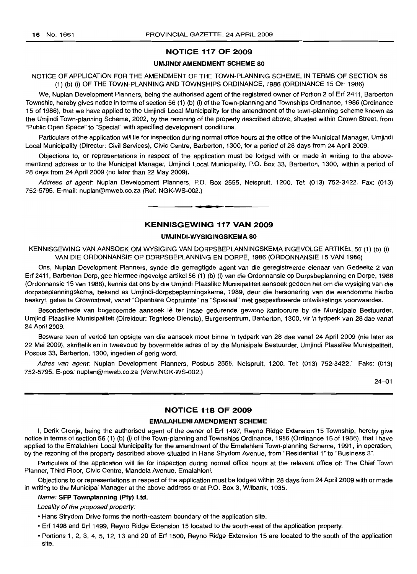## **NOTICE 117 OF 2009**

#### **UMJINDI AMENDMENT SCHEME 80**

NOTICE OF APPLICATION FOR THE AMENDMENT OF THE TOWN-PLANNING SCHEME, IN TERMS OF SECTION 56 (1) (b) (i) OF THE TOWN-PLANNING AND TOWNSHIPS ORDINANCE, 1986 (ORDINANCE 15 OF 1986)

We, Nuplan Development Planners, being the authorised agent of the registered owner of Portion 2 of Erf 2411, Barberton Township, hereby gives notice in terms of section 56 (1) (b) (i) of the Town-planning and Townships Ordinance, 1986 (Ordinance 15 of 1986), that we have applied to the Umjindi Local Municipality for the amendment of the town-planning scheme known as the Umjindi Town-planning Scheme, 2002, by the rezoning of the property described above, situated within Crown Street, from "Public Open Space" to "Special" with specified development conditions.

Particulars of the application will lie for inspection during normal office hours at the ofifce of the Municipal Manager, Umjindi Local Municipality (Director: Civil Services), Civic Centre, Barberton, 1300, for a period of 28 days from 24 April 2009.

Objections to, or representations in respect of the application must be lodged with or made in writing to the abovementiond address or to the Municipal Manager, Umjindi Local Municipality, P.O. Box 33, Barberton, 1300, within a period of 28 days from 24 April 2009 (no later than 22 May 2009).

Address of agent: Nuplan Development Planners, P.O. Box 2555, Nelspruit, 1200. Tel: (013) 752-3422. Fax: (013) 752-5795. E-mail: nuplan@mweb.co.za (Ref: NGK-WS-002.)

## **KENNISGEWING 117 VAN 2009**

**• •**

#### **UMJINDI-WYSIGINGSKEMA 80**

KENNISGEWING VAN AANSOEK OM WYSIGING VAN DORPSBEPLANNINGSKEMA INGEVOLGE ARTIKEL 56 (1) (b) (i) VAN DIE ORDONNANSIE OP DORPSBEPLANNING EN DORPE, 1986 (ORDONNANSIE 15 VAN 1986)

Ons, Nuplan Development Planners, synde die gemagtigde agent van die geregistreerde eienaar van Gedeelte 2 van Erf 2411, Barberton Dorp, gee hiermee ingevolge artikel 56 (1) (b) (i) van die Ordonnansie op Dorpsbeplanning en Dorpe, 1986 (Ordonnansie 15 van 1986), kennis dat ons by die Umjindi Plaaslike Munisipaliteit aansoek gedoen het om die wysiging van die dorpsbeplanningskema, bekend as Umjindi-dorpsbeplanningskema, 1989, deur die hersonering van die eiendomme hierbo beskryf, qelee te Crownstraat, vanaf "Openbare Oopruimte" na "Spesiaal" met gespesifiseerde ontwikkelings voorwaardes.

Besonderhede van bogenoemde aansoek lê ter insae gedurende gewone kantoorure by die Munisipale Bestuurder, Umjindi Plaaslike Munisipaliteit (Direkteur: Tegniese Dienste), Burgersentrum, Barberton, 1300, vir 'n tydperk van 28 dae vanaf 24 April 2009.

Besware teen of vertoë ten opsigte van die aansoek moet binne 'n tydperk van 28 dae vanaf 24 April 2009 (nie later as 22 Mei 2009), skriftelik en in tweevoud by bovermelde adres of by die Munisipale Bestuurder, Umjindi Plaaslike Munisipaliteit, Posbus 33, Barberton, 1300, ingedien of gerig word.

Adres van agent: Nuplan Development Planners, Posbus 2555, Nelspruit, 1200. Tel: (013) 752-3422.' Faks: (013) 752-5795. E-pos: nuplan@mweb.co.za (Verw:NGK-WS-002.)

24-01

## **NOTICE 118 OF 2009**

#### **EMALAHLENI AMENDMENT SCHEME**

I, Derik Cronje, being the authorised agent of the owner of Erf 1497, Reyno Ridge Extension 15 Township, hereby give notice in terms of section 56 (1) (b) (i) of the Town-planning and Townships Ordinance, 1986 (Ordinance 15 of 1986), that I have applied to the Emalahleni Local Municipality for the amendment of the Emalahleni Town-planning Scheme, 1991, in operation, by the rezoning of the property described above situated in Hans Strydom Avenue, from "Residential 1" to "Business 3".

Particulars of the application will lie for inspection during normal office hours at the relavent office of: The Chief Town Planner, Third Floor, Civic Centre, Mandela Avenue, Emalahleni.

Objections to or representations in respect of the application must be lodged within 28 days from 24 April 2009 with or made in writing to the Municipal Manager at the above address or at P.O. Box 3, Witbank, 1035.

#### Name: **SFP Townplanning (pty) Ltd.**

Locality of the proposed property:

- Hans Strydom Drive forms the north-eastern boundary of the application site.
- Erf 1498 and Erf 1499, Reyno Ridge Extension 15 located to the south-east of the application property.
- Portions 1, 2, 3, 4, 5, 12, 13 and 20 of Erf 1500, Reyno Ridge Extension 15 are located to the south of the application site.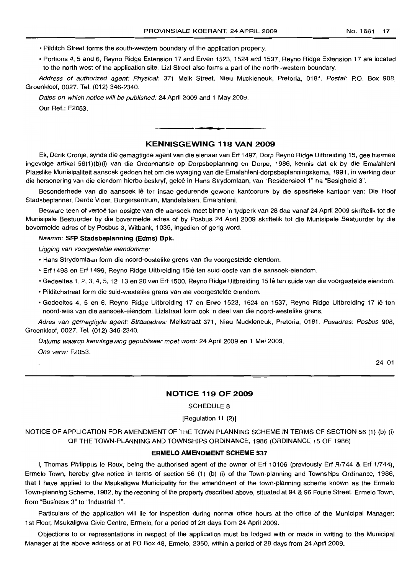- Pilditch Street forms the south-western boundary of the application property.
- Portions 4, 5 and 6, Reyno Ridge Extension 17 and Erven 1523, 1524 and 1537, Reyno Ridge Extension 17 are located to the north-west of the application site. Lizl Street also forms a part of the north--western boundary.

Address of authorized agent: Physical: 371 Melk Street, Nieu Muckleneuk, Pretoria, 0181. Postal: P.O. Box 908, Groenkloof, 0027. Tel. (012) 346-2340.

Dates on which notice will be published: 24 April 2009 and 1 May 2009. Our Ref.: F2053.

## **KENNISGEWING 118 VAN 2009**

• **\_ E**

Ek, Derik Cronje, synde die gemagtigde agent van die eienaar van Erf 1497, Dorp Reyno Ridge Uitbreiding 15, gee hiermee ingevolge artikel 56(1 )(b)(i) van die Ordonnansie op Dorpsbeplanning en Dorpe, 1986, kennis dat ek by die Emalahleni Plaaslike Munisipaliteit aansoek gedoen het om die wysiging van die Emalahleni-dorpsbeplanningskema, 1991, in werking deur die hersonering van die eiendom hierbo beskryf, geleë in Hans Strydomlaan, van "Residensieel 1" na "Besigheid 3".

Besonderhede van die aansoek lê ter insae gedurende gewone kantoorure by die spesifieke kantoor van: Die Hoof Stadsbeplanner, Derde Vloer, Burgersentrum, Mandelalaan, Emalahleni.

Besware teen of vertoë ten opsigte van die aansoek moet binne 'n tydperk van 28 dae vanaf 24 April 2009 skriftelik tot die Munisipale Bestuurder by die bovermelde adres of by Posbus 24 April 2009 skriftelik tot die Munisipale Bestuurder by die bovermelde adres of by Posbus 3, Witbank, 1035, ingedien of gerig word.

#### Naamm: **SFP Stadsbeplanning (Edms) Bpk.**

Ligging van voorgestelde eiendomme:

- Hans Strydomlaan form die noord-oostelike grens van die voorgestelde eiendom.
- Erf 1498 en Erf 1499, Reyno Ridge Uitbreiding 15lê ten suid-ooste van die aansoek-eiendom.
- Gedeeltes 1, 2, 3, 4, 5, 12, 13 en 20 van Erf 1500, Reyno Ridge Uitbreiding 15 Ie ten suide van die voorgestelde eiendom.
- Pilditchstraat form die suid-westelike grens van die voorgestelde eiendom.
- Gedeeltes 4, 5 en 6, Reyno Ridge Uitbreiding 17 en Erwe 1523, 1524 en 1537, Reyno Ridge Uitbreiding 17 Ie ten noord-wes van die aansoek-eiendom. Lizlstraat form ook 'n deel van die noord-westelike grens.

Adres van gemagtigde agent: Straatadres: Melkstraat 371, Nieu Muckleneuk, Pretoria, 0181. Posadres: Posbus 908, Groenkloof, 0027. Tel. (012) 346-2340.

Datums waarop kennisgewing gepubliseer moet word: 24 April 2009 en 1 Mei 2009. Ons verw: F2053.

24-01

## **NOTICE 119 OF 2009**

## SCHEDULE 8

#### [Regulation 11 (2)]

NOTICE OF APPLICATION FOR AMENDMENT OF THE TOWN PLANNING SCHEME IN TERMS OF SECTION 56 (1) (b) (i) OF THE TOWN-PLANNING AND TOWNSHIPS ORDINANCE, 1986 (ORDINANCE 15 OF 1986)

#### **ERMELO AMENDMENT SCHEME 537**

I, Thomas Philippus Ie Roux, being the authorised agent of the owner of Erf 10106 (previously Erf R/744 & Erf 1/744), Ermelo Town, hereby give notice in terms of section 56 (1) (b) (i) of the Town-planning and Townships Ordinance, 1986, that I have applied to the Msukaligwa Municipality for the amendment of the town-planning scheme known as the Ermelo Town-planning Scheme, 1982, by the rezoning of the property described above, situated at 94 & 96 Fourie Street, Ermelo Town, from "Business 3" to "Industrial 1".

Particulars of the application will lie for inspection during normal office hours at the office of the Municipal Manager: 1st Floor, Msukaligwa Civic Centre, Ermelo, for a period of 28 days from 24 April 2009.

Objections to or representations in respect of the application must be lodged with or made in writing to the Municipal Manager at the above address or at PO Box 48, Ermelo, 2350, within a period of 28 days from 24 April 2009.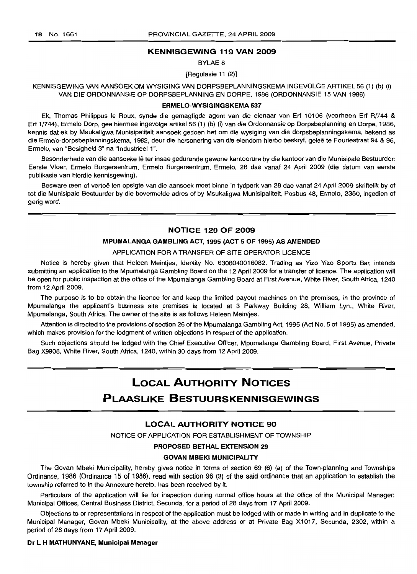## **KENNISGEWING 119 VAN 2009**

BYLAE 8

[Regulasie 11 (2)]

## KENNISGEWING VAN AANSOEK OM WYSIGING VAN DORPSBEPLANNINGSKEMA INGEVOLGE ARTIKEL 56 (1) (b) (i) VAN DIE ORDONNANSIE OP DORPSBEPLANNING EN DORPE, 1986 (ORDONNANSIE 15 VAN 1986)

#### **ERMELO-WYSIGINGSKEMA 537**

Ek, Thomas Philippus Ie Roux, synde die gemagtigde agent van die eienaar van Erf 10106 (voorheen Erf R/744 & Erf 1/744), Ermelo Dorp, gee hiermee ingevolge artikel 56 (1) (b) (i) van die Ordonnansie op Dorpsbeplanning en Dorpe, 1986, kennis dat ek by Msukaligwa Munisipaliteit aansoek gedoen het om die wysiging van die dorpsbeplanningskema, bekend as die Ermelo-dorpsbeplanningskema, 1982, deur die hersonering van die eiendom hierbo beskryf, gelee te Fouriestraat 94 & 96, Ermelo, van "Besigheid 3" na "Industrieel 1".

Besonderhede van die aansoeke lê ter insae gedurende gewone kantoorure by die kantoor van die Munisipale Bestuurder: Eerste Vloer, Ermelo Burgersentrum, Ermelo Burgersentrum, Ermelo, 28 dae vanaf 24 April 2009 (die datum van eerste publikasie van hierdie kennisgewing).

Besware teen of vertoë ten opsigte van die aansoek moet binne 'n tydperk van 28 dae vanaf 24 April 2009 skriftelik by of tot die Munisipale Bestuurder by die bovermelde adres of by Msukaligwa Munisipaliteit, Posbus 48, Ermelo, 2350, ingedien of gerig word.

#### **NOTICE 120 OF 2009**

## **MPUMALANGA GAMBLING ACT, 1995 (ACT 5 OF 1995) AS AMENDED**

#### APPLICATION FOR A TRANSFER OF SITE OPERATOR LICENCE

Notice is hereby given that Heleen Meintjes, Identity No. 6308040016082. Trading as Yizo Yizo Sports Bar, intends submitting an application to the Mpumalanga Gambling Board on the 12 April 2009 for a transfer of licence. The application will be open for public inspection at the office of the Mpumalanga Gambling Board at First Avenue, White River, South Africa, 1240 from 12 April 2009.

The purpose is to be obtain the licence for and keep the limited payout machines on the premises, in the province of Mpumalanga the applicant's business site premises is located at 3 Parkway Building 28, William Lyn., White River, Mpumalanga, South Africa. The owner of the site is as follows Heleen Meintjes.

Attention is directed to the provisions of section 26 of the Mpumalanga Gambling Act, 1995 (Act No.5 of 1995) as amended, which makes provision for the lodgment of written objections in respect of the application.

Such objections should be lodged with the Chief Executive Officer, Mpumalanga Gambling Board, First Avenue, Private Bag X990B, White River, South Africa, 1240, within 30 days from 12 April 2009.

# **LOCAL AUTHORITY NOTICES**

## **PLAASLIKE BESTUURSKENNISGEWINGS**

## **LOCAL AUTHORITY NOTICE 90**

NOTICE OF APPLICATION FOR ESTABLISHMENT OF TOWNSHIP

#### **PROPOSED BETHAL EXTENSION 29**

#### **GOVAN MBEKI MUNICIPALITY**

The Govan Mbeki Municipality, hereby gives notice in terms of section 69 (6) (a) of the Town-planning and Townships Ordinance, 1986 (Ordinance 15 of 1986), read with section 96 (3) of the said ordinance that an application to establish the township referred to in the Annexure hereto, has been received by it.

Particulars of the application will lie for inspection during normal office hours at the office of the Municipal Manager: Municipal Offices, Central Business District, Secunda, for a period of 28 days from 17 April 2009.

Objections to or representations in respect of the application must be lodged with or made in writing and in duplicate to the Municipal Manager, Govan Mbeki Municipality, at the above address or at Private Bag X1017, Secunda, 2302, within a period of 28 days from **17** April 2009.

#### **Dr L H MATHUNYANE, Municipal Manager**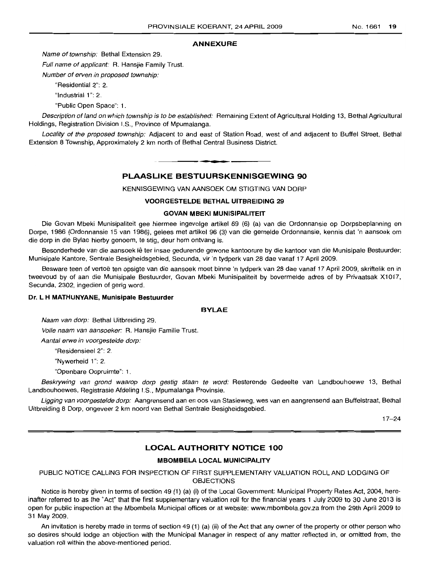#### **ANNEXURE**

Name of township: Bethal Extension 29.

Full name of applicant: R. Hansjie Family Trust.

Number of erven in proposed township:

"Residential 2": 2.

"Industrial 1": 2.

"Public Open Space": 1.

Description of land on which township is to be established: Remaining Extent of Agricultural Holding 13, Bethal Agricultural Holdings, Registration Division I.S., Province of Mpumalanga.

Locality of the proposed township: Adjacent to and east of Station Road, west of and adjacent to Buffel Street, Bethal Extension 8 Township, Approximately 2 km north of Bethal Central Business District.

# **• PLAASLIKE BESTUURSKENNISGEWING 90**

KENNISGEWING VAN AANSOEK OM STIGTING VAN DORP

## **VOORGESTELDE BETHAL UITBREIDING 29**

#### **GOVAN MBEKI MUNISIPALITEIT**

Die Govan Mbeki Munisipaliteit gee hiermee ingevolge artikel 69 (6) (a) van die Ordonnansie op Dorpsbeplanning en Dorpe, 1986 (Ordonnansie 15 van 1986), gelees met artikel 96 (3) van die gemelde Ordonnansie, kennis dat 'n aansoek om die dorp in die Bylae hierby genoem, te stig, deur hom ontvang is.

Besonderhede van die aansoek Ie ter insae gedurende gewone kantoorure by die kantoor van die Munisipale Bestuurder: Munisipale Kantore, Sentrale Besigheidsgebied, Secunda, vir 'n tydperk van 28 dae vanaf 17 April 2009.

Besware teen of vertoë ten opsigte van die aansoek moet binne 'n tydperk van 28 dae vanaf 17 April 2009, skriftelik en in tweevoud by of aan die Munisipale Bestuurder, Govan Mbeki Munisipaliteit by bovermelde adres of by Privaatsak X1017, Secunda, 2302, ingedien of gerig word.

#### **Dr. L H MATHUNYANE, Munisipale Bestuurder**

#### **BYLAE**

Naam van dorp: Bethal Uitbreiding 29.

Volle naam van aansoeker: R. Hansjie Familie Trust.

Aantal erwe in voorgestelde dorp:

"Residensieel 2": 2.

"Nywerheid 1": 2.

"Openbare Oopruimte": 1.

Beskrywing van grond waarop dorp gestig staan te word: Resterende Gedeelte van Landbouhoewe 13, Bethal Landbouhoewes, Registrasie Afdeling I.S., Mpumalanga Provinsie.

Ligging van voorgestelde dorp: Aangrensend aan en oos van Stasieweg, wes van en aangrensend aan Buffelstraat, Bethal Uitbreiding 8 Dorp, ongeveer 2 km noord van Bethal Sentrale Besigheidsgebied.

17-24

## **LOCAL AUTHORITY NOTICE 100**

### **MBOMBELA LOCAL MUNICIPALITY**

## PUBLIC NOTICE CALLING FOR INSPECTION OF FIRST SUPPLEMENTARY VALUATION ROLL AND LODGING OF OBJECTIONS

Notice is hereby given in terms of section 49 (1) (a) (i) of the Local Government: Municipal Property Rates Act, 2004, hereinafter referred to as the "Act" that the first supplementary valuation roll for the financial years 1 July 2009 to 30 June 2013 is open for public inspection at the Mbombela Municipal offices or at website: www.mbombela.gov.za from the 29th April 2009 to 31 May 2009.

An invitation is hereby made in terms of section 49 (1) (a) (ii) of the Act that any owner of the property or other person who so desires should lodge an objection with the Municipal Manager in respect of any matter reflected in, or omitted from, the valuation roll within the above-mentioned period.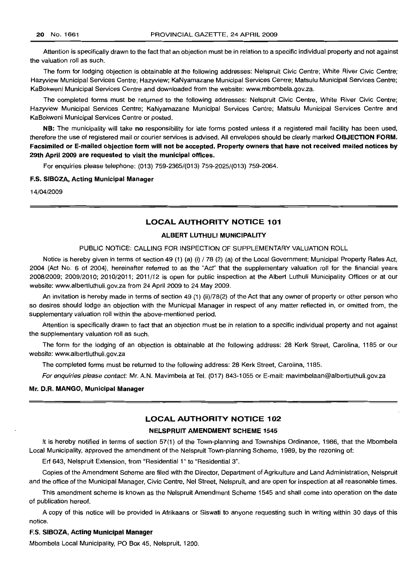Attention is specifically drawn to the fact that an objection must be in relation to a specific individual property and not against the valuation roll as such.

The form for lodging objection is obtainable at the followinq addresses: Nefspruit Civic Centre; White River Civic Centre; Hazyview Municipal Services Centre; Hazyview; KaNyamazane Municipal Services Centre; Matsulu Municipal Services Centre; KaBokweni Municipal Services Centre and downloaded from the website: www.mbombela.gov.za.

The completed forms must be returned to the fallowing addresses: Nelspruit Civic Centre, White River Civic Centre; Hazyview Municipal Services Centre; KaNyamazane Municipal Services Centre; Matsulu Municipal Services Centre and KaBokweni Municipal Services Centre or posted.

NB: The municipality will take no responsibility for late forms posted unless if a registered mail facility has been used, therefore the use of registered mail or courier services is advised. All envelopes should be clearly marked OBJECTION FORM. Facsimiled or E-mailed objection form will not be accepted. Property owners that have not received mailed notices by 29th April 2009 are requested to visit the municipal offices.

For enquiries please telephone: (013) 759-2365/(013) 759-2025/(013) 759-2064.

#### ES. SIBOZA, Acting Municipal Manager

14/04/2009

## LOCAL AUTHORITY NOTICE 101

#### ALBERT LUTHULI MUNICIPALITY

#### PUBLIC NOTICE: CALLING FOR INSPECTION OF SUPPLEMENTARY VALUATION ROLL

Notice is hereby given in terms of section 49 (1) (a) (i) / 78 (2) (a) of the Local Government: Municipal Property Rates Act, 2004 (Act No.6 of 2004), hereinafter referred to as the "Act" that the supplementary valuation roll for the financial years 2008/2009; 2009/2010; 2010/2011; 2011/12 is open for public inspection at the Albert Luthuli Municipality Offices or at our website: www.albertluthuli.gov.za from 24 April 2009 to 24 May 2009.

An invitation is hereby made in terms of section 49 (1) (ii)/78(2) of the Act that any owner of property or other person who so desires should lodge an objection with the Municipal Manager in respect of any matter reflected in, or omitted from, the supplementary valuation roll within the above-mentioned period.

Attention is specifically drawn to fact that an objection must be in relation to a specific individual property and not against the supplementary valuation roll as such.

The form for the lodging of an objection is obtainable at the followinq address: 28 Kerk Street, Carolina, 1185 or our website: www.albertluthuli.gov.za

The completed forms must be returned to the followinq address: 28 Kerk Street, Carolina, 1185.

For enquiries please contact: Mr. A.N. Mavimbela at Tel. (017) 843-1055 or E-mail: mavimbelaan@albertluthuILgov.za

#### Mr. D.R. MANGO, Municipal Manager

## LOCAL AUTHORITY NOTICE 102

#### NELSPRUIT AMENDMENT SCHEME 1545

It is hereby notified in terms of section 57(1) of the Town-planning and Townships Ordinance, 1986, that the Mbombela Local Municipality, approved the amendment of the Nelspruit Town-planning Scheme, 1989, by the rezoning of:

Erf 643, Nelspruit Extension, from "Residential 1" to "Residential 3".

Copies of the Amendment Scheme are filed with the Director, Department of Agriculture and Land Administration, Nelspruit and the office of the Municipal Manager, Civic Centre, Nel Street, Nelspruit, and are open for inspection at all reasonable times.

This amendment scheme is known as the Nelspruit Amendment Scheme 1545 and shall come into operation on the date of publication hereof.

A copy of this notice will be provided in Afrikaans or Siswati to anyone requesting such in writing within 30 days of this notice.

#### ES. SIBOZA, Acting Municipal Manager

Mbombela Local Municipality, PO Box 45, Nelspruit, 1200.